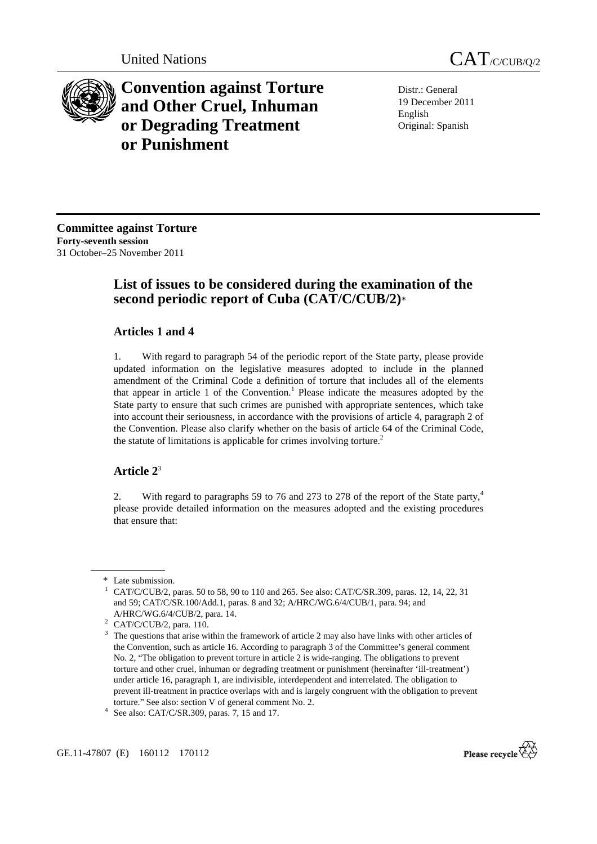

**Convention against Torture and Other Cruel, Inhuman or Degrading Treatment or Punishment**

Distr.: General 19 December 2011 English Original: Spanish

**Committee against Torture Forty-seventh session**  31 October–25 November 2011

# **List of issues to be considered during the examination of the second periodic report of Cuba (CAT/C/CUB/2)**\*

# **Articles 1 and 4**

1. With regard to paragraph 54 of the periodic report of the State party, please provide updated information on the legislative measures adopted to include in the planned amendment of the Criminal Code a definition of torture that includes all of the elements that appear in article 1 of the Convention.<sup>1</sup> Please indicate the measures adopted by the State party to ensure that such crimes are punished with appropriate sentences, which take into account their seriousness, in accordance with the provisions of article 4, paragraph 2 of the Convention. Please also clarify whether on the basis of article 64 of the Criminal Code, the statute of limitations is applicable for crimes involving torture.<sup>2</sup>

# **Article 2**<sup>3</sup>

2. With regard to paragraphs 59 to 76 and 273 to 278 of the report of the State party,<sup>4</sup> please provide detailed information on the measures adopted and the existing procedures that ensure that:

 $\frac{1}{4}$  See also: CAT/C/SR.309, paras. 7, 15 and 17.





<sup>\*</sup> Late submission. 1

CAT/C/CUB/2, paras. 50 to 58, 90 to 110 and 265. See also: CAT/C/SR.309, paras. 12, 14, 22, 31 and 59; CAT/C/SR.100/Add.1, paras. 8 and 32; A/HRC/WG.6/4/CUB/1, para. 94; and A/HRC/WG.6/4/CUB/2, para. 14. 2

CAT/C/CUB/2, para. 110.

<sup>3</sup> The questions that arise within the framework of article 2 may also have links with other articles of the Convention, such as article 16. According to paragraph 3 of the Committee's general comment No. 2, "The obligation to prevent torture in article 2 is wide-ranging. The obligations to prevent torture and other cruel, inhuman or degrading treatment or punishment (hereinafter 'ill-treatment') under article 16, paragraph 1, are indivisible, interdependent and interrelated. The obligation to prevent ill-treatment in practice overlaps with and is largely congruent with the obligation to prevent torture." See also: section V of general comment No. 2. 4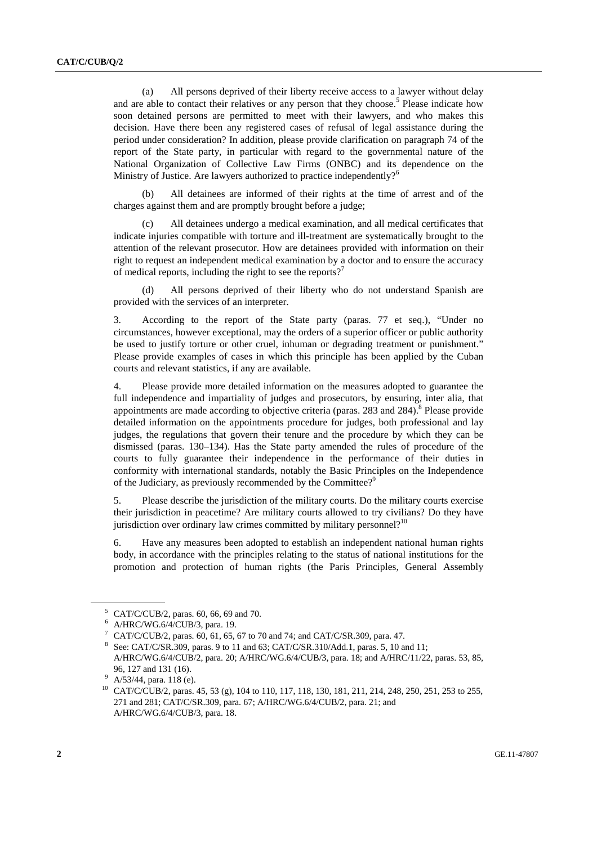(a) All persons deprived of their liberty receive access to a lawyer without delay and are able to contact their relatives or any person that they choose.<sup>5</sup> Please indicate how soon detained persons are permitted to meet with their lawyers, and who makes this decision. Have there been any registered cases of refusal of legal assistance during the period under consideration? In addition, please provide clarification on paragraph 74 of the report of the State party, in particular with regard to the governmental nature of the National Organization of Collective Law Firms (ONBC) and its dependence on the Ministry of Justice. Are lawyers authorized to practice independently?<sup>6</sup>

 (b) All detainees are informed of their rights at the time of arrest and of the charges against them and are promptly brought before a judge;

 (c) All detainees undergo a medical examination, and all medical certificates that indicate injuries compatible with torture and ill-treatment are systematically brought to the attention of the relevant prosecutor. How are detainees provided with information on their right to request an independent medical examination by a doctor and to ensure the accuracy of medical reports, including the right to see the reports?<sup>7</sup>

All persons deprived of their liberty who do not understand Spanish are provided with the services of an interpreter.

3. According to the report of the State party (paras. 77 et seq.), "Under no circumstances, however exceptional, may the orders of a superior officer or public authority be used to justify torture or other cruel, inhuman or degrading treatment or punishment." Please provide examples of cases in which this principle has been applied by the Cuban courts and relevant statistics, if any are available.

4. Please provide more detailed information on the measures adopted to guarantee the full independence and impartiality of judges and prosecutors, by ensuring, inter alia, that appointments are made according to objective criteria (paras.  $283$  and  $284$ ).<sup>8</sup> Please provide detailed information on the appointments procedure for judges, both professional and lay judges, the regulations that govern their tenure and the procedure by which they can be dismissed (paras. 130–134). Has the State party amended the rules of procedure of the courts to fully guarantee their independence in the performance of their duties in conformity with international standards, notably the Basic Principles on the Independence of the Judiciary, as previously recommended by the Committee?<sup>9</sup>

5. Please describe the jurisdiction of the military courts. Do the military courts exercise their jurisdiction in peacetime? Are military courts allowed to try civilians? Do they have jurisdiction over ordinary law crimes committed by military personnel?<sup>10</sup>

6. Have any measures been adopted to establish an independent national human rights body, in accordance with the principles relating to the status of national institutions for the promotion and protection of human rights (the Paris Principles, General Assembly

<sup>5</sup> CAT/C/CUB/2, paras. 60, 66, 69 and 70.

<sup>6</sup> A/HRC/WG.6/4/CUB/3, para. 19.

<sup>7</sup> CAT/C/CUB/2, paras. 60, 61, 65, 67 to 70 and 74; and CAT/C/SR.309, para. 47.

<sup>8</sup> See: CAT/C/SR.309, paras. 9 to 11 and 63; CAT/C/SR.310/Add.1, paras. 5, 10 and 11; A/HRC/WG.6/4/CUB/2, para. 20; A/HRC/WG.6/4/CUB/3, para. 18; and A/HRC/11/22, paras. 53, 85,

<sup>96, 127</sup> and 131 (16).<br><sup>9</sup> A/53/44, para. 118 (e).

<sup>10</sup> CAT/C/CUB/2, paras. 45, 53 (g), 104 to 110, 117, 118, 130, 181, 211, 214, 248, 250, 251, 253 to 255, 271 and 281; CAT/C/SR.309, para. 67; A/HRC/WG.6/4/CUB/2, para. 21; and A/HRC/WG.6/4/CUB/3, para. 18.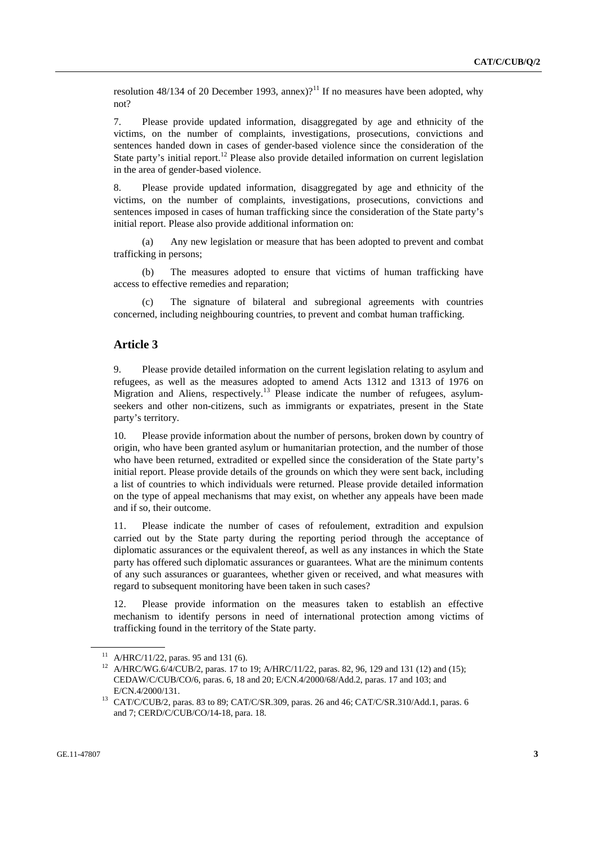resolution 48/134 of 20 December 1993, annex)?<sup>11</sup> If no measures have been adopted, why not?

7. Please provide updated information, disaggregated by age and ethnicity of the victims, on the number of complaints, investigations, prosecutions, convictions and sentences handed down in cases of gender-based violence since the consideration of the State party's initial report.<sup>12</sup> Please also provide detailed information on current legislation in the area of gender-based violence.

8. Please provide updated information, disaggregated by age and ethnicity of the victims, on the number of complaints, investigations, prosecutions, convictions and sentences imposed in cases of human trafficking since the consideration of the State party's initial report. Please also provide additional information on:

 (a) Any new legislation or measure that has been adopted to prevent and combat trafficking in persons;

 (b) The measures adopted to ensure that victims of human trafficking have access to effective remedies and reparation;

 (c) The signature of bilateral and subregional agreements with countries concerned, including neighbouring countries, to prevent and combat human trafficking.

## **Article 3**

9. Please provide detailed information on the current legislation relating to asylum and refugees, as well as the measures adopted to amend Acts 1312 and 1313 of 1976 on Migration and Aliens, respectively.<sup>13</sup> Please indicate the number of refugees, asylumseekers and other non-citizens, such as immigrants or expatriates, present in the State party's territory.

10. Please provide information about the number of persons, broken down by country of origin, who have been granted asylum or humanitarian protection, and the number of those who have been returned, extradited or expelled since the consideration of the State party's initial report. Please provide details of the grounds on which they were sent back, including a list of countries to which individuals were returned. Please provide detailed information on the type of appeal mechanisms that may exist, on whether any appeals have been made and if so, their outcome.

11. Please indicate the number of cases of refoulement, extradition and expulsion carried out by the State party during the reporting period through the acceptance of diplomatic assurances or the equivalent thereof, as well as any instances in which the State party has offered such diplomatic assurances or guarantees. What are the minimum contents of any such assurances or guarantees, whether given or received, and what measures with regard to subsequent monitoring have been taken in such cases?

12. Please provide information on the measures taken to establish an effective mechanism to identify persons in need of international protection among victims of trafficking found in the territory of the State party.

<sup>&</sup>lt;sup>11</sup> A/HRC/11/22, paras. 95 and 131 (6).

<sup>&</sup>lt;sup>12</sup> A/HRC/WG.6/4/CUB/2, paras. 17 to 19; A/HRC/11/22, paras. 82, 96, 129 and 131 (12) and (15); CEDAW/C/CUB/CO/6, paras. 6, 18 and 20; E/CN.4/2000/68/Add.2, paras. 17 and 103; and

E/CN.4/2000/131.<br><sup>13</sup> CAT/C/CUB/2, paras. 83 to 89; CAT/C/SR.309, paras. 26 and 46; CAT/C/SR.310/Add.1, paras. 6 and 7; CERD/C/CUB/CO/14-18, para. 18.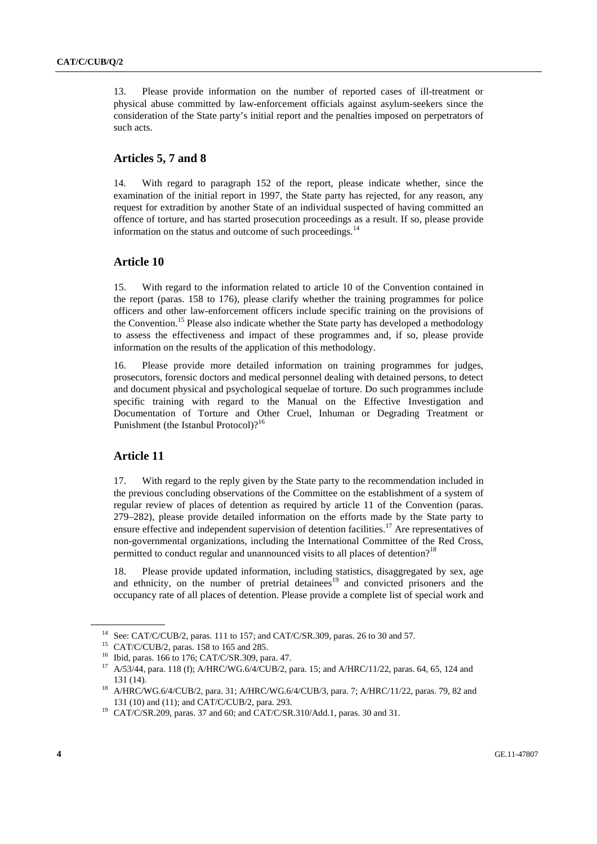13. Please provide information on the number of reported cases of ill-treatment or physical abuse committed by law-enforcement officials against asylum-seekers since the consideration of the State party's initial report and the penalties imposed on perpetrators of such acts.

## **Articles 5, 7 and 8**

14. With regard to paragraph 152 of the report, please indicate whether, since the examination of the initial report in 1997, the State party has rejected, for any reason, any request for extradition by another State of an individual suspected of having committed an offence of torture, and has started prosecution proceedings as a result. If so, please provide information on the status and outcome of such proceedings.<sup>14</sup>

### **Article 10**

15. With regard to the information related to article 10 of the Convention contained in the report (paras. 158 to 176), please clarify whether the training programmes for police officers and other law-enforcement officers include specific training on the provisions of the Convention.15 Please also indicate whether the State party has developed a methodology to assess the effectiveness and impact of these programmes and, if so, please provide information on the results of the application of this methodology.

16. Please provide more detailed information on training programmes for judges, prosecutors, forensic doctors and medical personnel dealing with detained persons, to detect and document physical and psychological sequelae of torture. Do such programmes include specific training with regard to the Manual on the Effective Investigation and Documentation of Torture and Other Cruel, Inhuman or Degrading Treatment or Punishment (the Istanbul Protocol)?<sup>16</sup>

# **Article 11**

17. With regard to the reply given by the State party to the recommendation included in the previous concluding observations of the Committee on the establishment of a system of regular review of places of detention as required by article 11 of the Convention (paras. 279–282), please provide detailed information on the efforts made by the State party to ensure effective and independent supervision of detention facilities.<sup>17</sup> Are representatives of non-governmental organizations, including the International Committee of the Red Cross, permitted to conduct regular and unannounced visits to all places of detention?<sup>18</sup>

18. Please provide updated information, including statistics, disaggregated by sex, age and ethnicity, on the number of pretrial detainees<sup>19</sup> and convicted prisoners and the occupancy rate of all places of detention. Please provide a complete list of special work and

<sup>14</sup> See: CAT/C/CUB/2, paras. 111 to 157; and CAT/C/SR.309, paras. 26 to 30 and 57.

<sup>15</sup> CAT/C/CUB/2, paras. 158 to 165 and 285.

<sup>16</sup> Ibid, paras. 166 to 176; CAT/C/SR.309, para. 47.

<sup>17</sup> A/53/44, para. 118 (f); A/HRC/WG.6/4/CUB/2, para. 15; and A/HRC/11/22, paras. 64, 65, 124 and

<sup>131 (14). 18</sup> A/HRC/WG.6/4/CUB/2, para. 31; A/HRC/WG.6/4/CUB/3, para. 7; A/HRC/11/22, paras. 79, 82 and 131 (10) and (11); and CAT/C/CUB/2, para. 293. 19 CAT/C/SR.209, paras. 37 and 60; and CAT/C/SR.310/Add.1, paras. 30 and 31.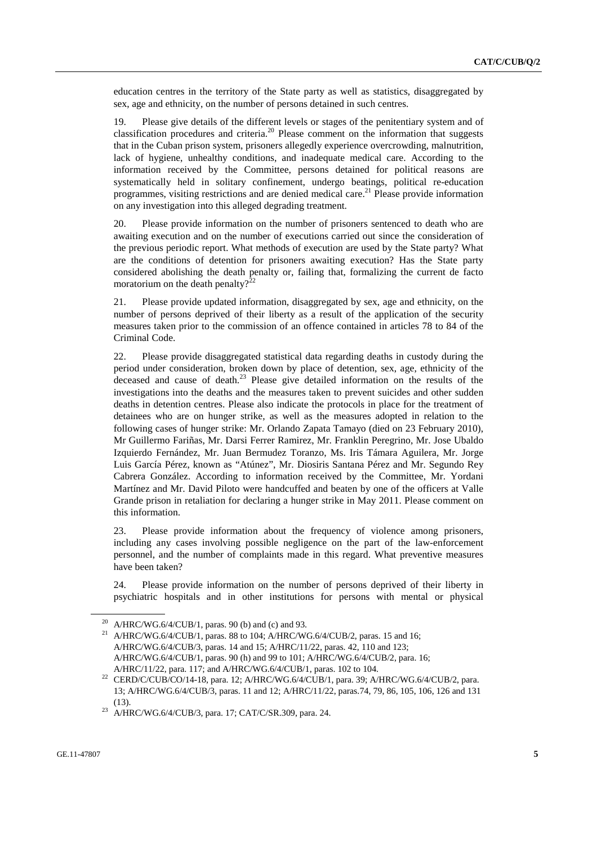education centres in the territory of the State party as well as statistics, disaggregated by sex, age and ethnicity, on the number of persons detained in such centres.

19. Please give details of the different levels or stages of the penitentiary system and of classification procedures and criteria.<sup>20</sup> Please comment on the information that suggests that in the Cuban prison system, prisoners allegedly experience overcrowding, malnutrition, lack of hygiene, unhealthy conditions, and inadequate medical care. According to the information received by the Committee, persons detained for political reasons are systematically held in solitary confinement, undergo beatings, political re-education programmes, visiting restrictions and are denied medical care.<sup>21</sup> Please provide information on any investigation into this alleged degrading treatment.

20. Please provide information on the number of prisoners sentenced to death who are awaiting execution and on the number of executions carried out since the consideration of the previous periodic report. What methods of execution are used by the State party? What are the conditions of detention for prisoners awaiting execution? Has the State party considered abolishing the death penalty or, failing that, formalizing the current de facto moratorium on the death penalty? $2^{22}$ 

21. Please provide updated information, disaggregated by sex, age and ethnicity, on the number of persons deprived of their liberty as a result of the application of the security measures taken prior to the commission of an offence contained in articles 78 to 84 of the Criminal Code.

22. Please provide disaggregated statistical data regarding deaths in custody during the period under consideration, broken down by place of detention, sex, age, ethnicity of the deceased and cause of death.23 Please give detailed information on the results of the investigations into the deaths and the measures taken to prevent suicides and other sudden deaths in detention centres. Please also indicate the protocols in place for the treatment of detainees who are on hunger strike, as well as the measures adopted in relation to the following cases of hunger strike: Mr. Orlando Zapata Tamayo (died on 23 February 2010), Mr Guillermo Fariñas, Mr. Darsi Ferrer Ramirez, Mr. Franklin Peregrino, Mr. Jose Ubaldo Izquierdo Fernández, Mr. Juan Bermudez Toranzo, Ms. Iris Támara Aguilera, Mr. Jorge Luis García Pérez, known as "Atúnez", Mr. Diosiris Santana Pérez and Mr. Segundo Rey Cabrera González. According to information received by the Committee, Mr. Yordani Martínez and Mr. David Piloto were handcuffed and beaten by one of the officers at Valle Grande prison in retaliation for declaring a hunger strike in May 2011. Please comment on this information.

23. Please provide information about the frequency of violence among prisoners, including any cases involving possible negligence on the part of the law-enforcement personnel, and the number of complaints made in this regard. What preventive measures have been taken?

24. Please provide information on the number of persons deprived of their liberty in psychiatric hospitals and in other institutions for persons with mental or physical

<sup>&</sup>lt;sup>20</sup> A/HRC/WG.6/4/CUB/1, paras. 90 (b) and (c) and 93.

<sup>&</sup>lt;sup>21</sup> A/HRC/WG.6/4/CUB/1, paras. 88 to 104; A/HRC/WG.6/4/CUB/2, paras. 15 and 16; A/HRC/WG.6/4/CUB/3, paras. 14 and 15; A/HRC/11/22, paras. 42, 110 and 123; A/HRC/WG.6/4/CUB/1, paras. 90 (h) and 99 to 101; A/HRC/WG.6/4/CUB/2, para. 16;

A/HRC/11/22, para. 117; and A/HRC/WG.6/4/CUB/1, paras. 102 to 104.<br><sup>22</sup> CERD/C/CUB/CO/14-18, para. 12; A/HRC/WG.6/4/CUB/1, para. 39; A/HRC/WG.6/4/CUB/2, para. 13; A/HRC/WG.6/4/CUB/3, paras. 11 and 12; A/HRC/11/22, paras.74, 79, 86, 105, 106, 126 and 131

<sup>(13). 23</sup> A/HRC/WG.6/4/CUB/3, para. 17; CAT/C/SR.309, para. 24.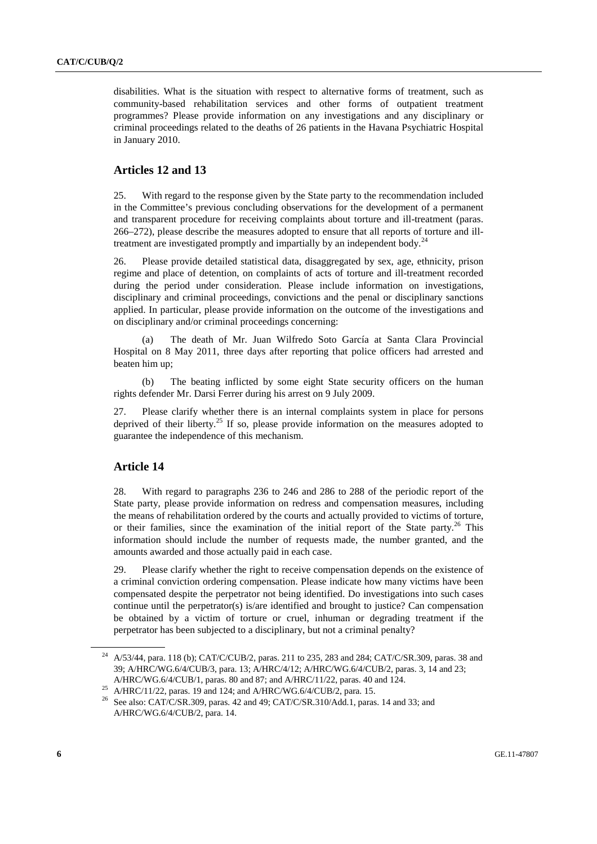disabilities. What is the situation with respect to alternative forms of treatment, such as community-based rehabilitation services and other forms of outpatient treatment programmes? Please provide information on any investigations and any disciplinary or criminal proceedings related to the deaths of 26 patients in the Havana Psychiatric Hospital in January 2010.

# **Articles 12 and 13**

25. With regard to the response given by the State party to the recommendation included in the Committee's previous concluding observations for the development of a permanent and transparent procedure for receiving complaints about torture and ill-treatment (paras. 266–272), please describe the measures adopted to ensure that all reports of torture and illtreatment are investigated promptly and impartially by an independent body.<sup>24</sup>

26. Please provide detailed statistical data, disaggregated by sex, age, ethnicity, prison regime and place of detention, on complaints of acts of torture and ill-treatment recorded during the period under consideration. Please include information on investigations, disciplinary and criminal proceedings, convictions and the penal or disciplinary sanctions applied. In particular, please provide information on the outcome of the investigations and on disciplinary and/or criminal proceedings concerning:

 (a) The death of Mr. Juan Wilfredo Soto García at Santa Clara Provincial Hospital on 8 May 2011, three days after reporting that police officers had arrested and beaten him up;

 (b) The beating inflicted by some eight State security officers on the human rights defender Mr. Darsi Ferrer during his arrest on 9 July 2009.

27. Please clarify whether there is an internal complaints system in place for persons deprived of their liberty.<sup>25</sup> If so, please provide information on the measures adopted to guarantee the independence of this mechanism.

## **Article 14**

28. With regard to paragraphs 236 to 246 and 286 to 288 of the periodic report of the State party, please provide information on redress and compensation measures, including the means of rehabilitation ordered by the courts and actually provided to victims of torture, or their families, since the examination of the initial report of the State party.<sup>26</sup> This information should include the number of requests made, the number granted, and the amounts awarded and those actually paid in each case.

29. Please clarify whether the right to receive compensation depends on the existence of a criminal conviction ordering compensation. Please indicate how many victims have been compensated despite the perpetrator not being identified. Do investigations into such cases continue until the perpetrator(s) is/are identified and brought to justice? Can compensation be obtained by a victim of torture or cruel, inhuman or degrading treatment if the perpetrator has been subjected to a disciplinary, but not a criminal penalty?

<sup>24</sup> A/53/44, para. 118 (b); CAT/C/CUB/2, paras. 211 to 235, 283 and 284; CAT/C/SR.309, paras. 38 and 39; A/HRC/WG.6/4/CUB/3, para. 13; A/HRC/4/12; A/HRC/WG.6/4/CUB/2, paras. 3, 14 and 23;

A/HRC/WG.6/4/CUB/1, paras. 80 and 87; and A/HRC/11/22, paras. 40 and 124. 25 A/HRC/11/22, paras. 19 and 124; and A/HRC/WG.6/4/CUB/2, para. 15.

<sup>26</sup> See also: CAT/C/SR.309, paras. 42 and 49; CAT/C/SR.310/Add.1, paras. 14 and 33; and A/HRC/WG.6/4/CUB/2, para. 14.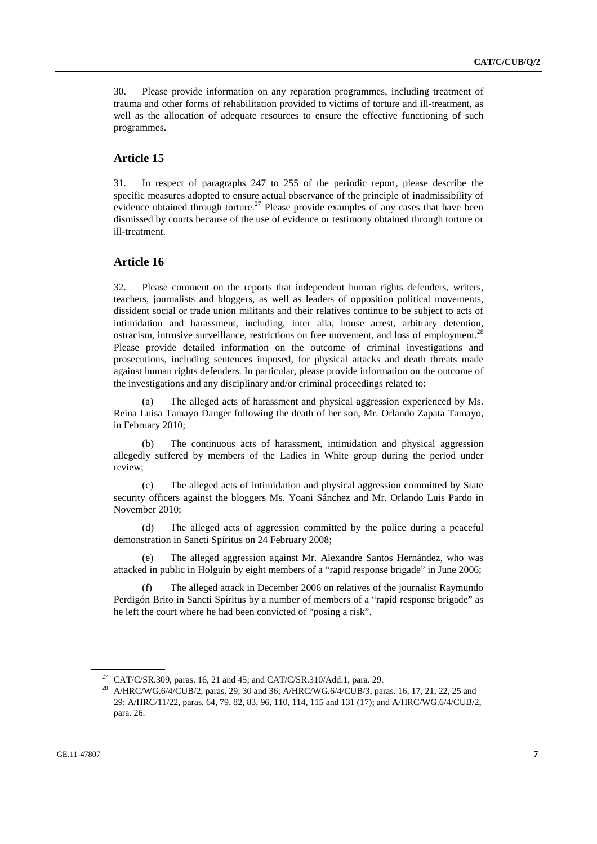30. Please provide information on any reparation programmes, including treatment of trauma and other forms of rehabilitation provided to victims of torture and ill-treatment, as well as the allocation of adequate resources to ensure the effective functioning of such programmes.

# **Article 15**

31. In respect of paragraphs 247 to 255 of the periodic report, please describe the specific measures adopted to ensure actual observance of the principle of inadmissibility of evidence obtained through torture.<sup>27</sup> Please provide examples of any cases that have been dismissed by courts because of the use of evidence or testimony obtained through torture or ill-treatment.

#### **Article 16**

32. Please comment on the reports that independent human rights defenders, writers, teachers, journalists and bloggers, as well as leaders of opposition political movements, dissident social or trade union militants and their relatives continue to be subject to acts of intimidation and harassment, including, inter alia, house arrest, arbitrary detention, ostracism, intrusive surveillance, restrictions on free movement, and loss of employment.<sup>28</sup> Please provide detailed information on the outcome of criminal investigations and prosecutions, including sentences imposed, for physical attacks and death threats made against human rights defenders. In particular, please provide information on the outcome of the investigations and any disciplinary and/or criminal proceedings related to:

 (a) The alleged acts of harassment and physical aggression experienced by Ms. Reina Luisa Tamayo Danger following the death of her son, Mr. Orlando Zapata Tamayo, in February 2010;

 (b) The continuous acts of harassment, intimidation and physical aggression allegedly suffered by members of the Ladies in White group during the period under review;

 (c) The alleged acts of intimidation and physical aggression committed by State security officers against the bloggers Ms. Yoani Sánchez and Mr. Orlando Luis Pardo in November 2010;

 (d) The alleged acts of aggression committed by the police during a peaceful demonstration in Sancti Spíritus on 24 February 2008;

The alleged aggression against Mr. Alexandre Santos Hernández, who was attacked in public in Holguín by eight members of a "rapid response brigade" in June 2006;

 (f) The alleged attack in December 2006 on relatives of the journalist Raymundo Perdigón Brito in Sancti Spíritus by a number of members of a "rapid response brigade" as he left the court where he had been convicted of "posing a risk".

<sup>27</sup> CAT/C/SR.309, paras. 16, 21 and 45; and CAT/C/SR.310/Add.1, para. 29.

<sup>&</sup>lt;sup>28</sup> A/HRC/WG.6/4/CUB/2, paras. 29, 30 and 36; A/HRC/WG.6/4/CUB/3, paras. 16, 17, 21, 22, 25 and 29; A/HRC/11/22, paras. 64, 79, 82, 83, 96, 110, 114, 115 and 131 (17); and A/HRC/WG.6/4/CUB/2, para. 26.